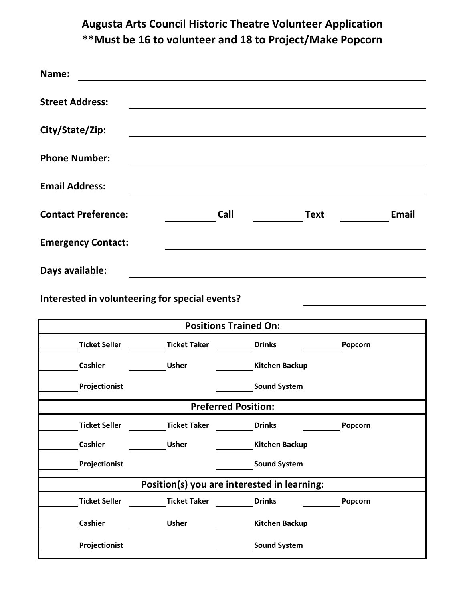## **Augusta Arts Council Historic Theatre Volunteer Application \*\*Must be 16 to volunteer and 18 to Project/Make Popcorn**

| Name:                                          |                                             |                            |                          |             |         |              |
|------------------------------------------------|---------------------------------------------|----------------------------|--------------------------|-------------|---------|--------------|
| <b>Street Address:</b>                         |                                             |                            |                          |             |         |              |
| City/State/Zip:                                |                                             |                            |                          |             |         |              |
| <b>Phone Number:</b>                           |                                             |                            |                          |             |         |              |
| <b>Email Address:</b>                          |                                             |                            |                          |             |         |              |
| <b>Contact Preference:</b>                     |                                             | Call                       |                          | <b>Text</b> |         | <b>Email</b> |
| <b>Emergency Contact:</b>                      |                                             |                            |                          |             |         |              |
| Days available:                                |                                             |                            |                          |             |         |              |
| Interested in volunteering for special events? |                                             |                            |                          |             |         |              |
| <b>Positions Trained On:</b>                   |                                             |                            |                          |             |         |              |
| <b>Ticket Seller</b>                           | <b>Ticket Taker</b>                         |                            | <b>Drinks</b>            |             | Popcorn |              |
| <b>Cashier</b>                                 | <b>Usher</b>                                |                            | <b>Kitchen Backup</b>    |             |         |              |
| Projectionist                                  |                                             |                            | <b>Sound System</b>      |             |         |              |
|                                                |                                             | <b>Preferred Position:</b> |                          |             |         |              |
| <b>Ticket Seller</b>                           | <b>Ticket Taker</b>                         |                            | <b>Drinks</b><br>Popcorn |             |         |              |
| <b>Cashier</b>                                 | <b>Usher</b>                                |                            | <b>Kitchen Backup</b>    |             |         |              |
| Projectionist                                  |                                             |                            | <b>Sound System</b>      |             |         |              |
|                                                | Position(s) you are interested in learning: |                            |                          |             |         |              |
| <b>Ticket Seller</b>                           | <b>Ticket Taker</b>                         |                            | <b>Drinks</b>            |             | Popcorn |              |
| <b>Cashier</b>                                 | <b>Usher</b>                                |                            | <b>Kitchen Backup</b>    |             |         |              |
| Projectionist                                  |                                             |                            | <b>Sound System</b>      |             |         |              |